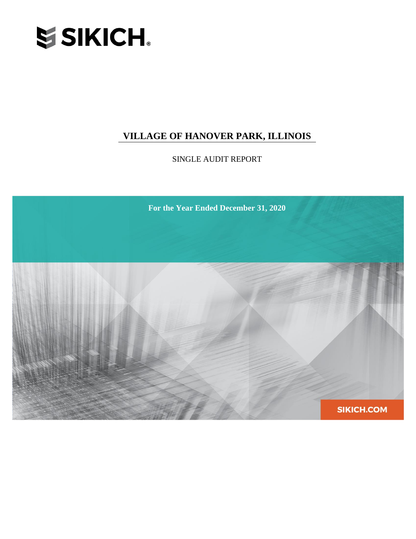

SINGLE AUDIT REPORT

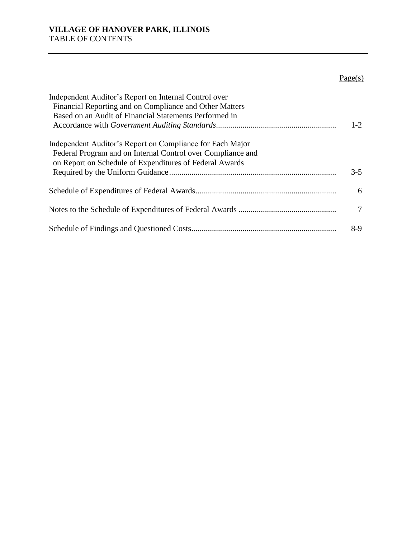## $Page(s)$

| Independent Auditor's Report on Internal Control over       |         |
|-------------------------------------------------------------|---------|
| Financial Reporting and on Compliance and Other Matters     |         |
| Based on an Audit of Financial Statements Performed in      |         |
|                                                             | $1 - 2$ |
| Independent Auditor's Report on Compliance for Each Major   |         |
| Federal Program and on Internal Control over Compliance and |         |
| on Report on Schedule of Expenditures of Federal Awards     |         |
|                                                             | $3 - 5$ |
|                                                             | 6       |
|                                                             | 7       |
|                                                             | $8-9$   |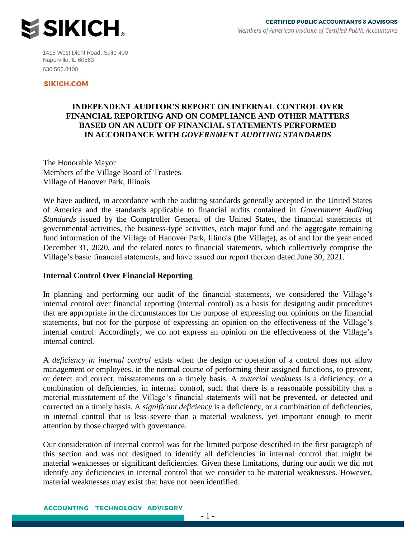

1415 West Diehl Road, Suite 400 Naperville, IL 60563 630.566.8400

#### **SIKICH.COM**

#### **INDEPENDENT AUDITOR'S REPORT ON INTERNAL CONTROL OVER FINANCIAL REPORTING AND ON COMPLIANCE AND OTHER MATTERS BASED ON AN AUDIT OF FINANCIAL STATEMENTS PERFORMED IN ACCORDANCE WITH** *GOVERNMENT AUDITING STANDARDS*

The Honorable Mayor Members of the Village Board of Trustees Village of Hanover Park, Illinois

We have audited, in accordance with the auditing standards generally accepted in the United States of America and the standards applicable to financial audits contained in *Government Auditing Standards* issued by the Comptroller General of the United States, the financial statements of governmental activities, the business-type activities, each major fund and the aggregate remaining fund information of the Village of Hanover Park, Illinois (the Village), as of and for the year ended December 31, 2020, and the related notes to financial statements, which collectively comprise the Village's basic financial statements, and have issued our report thereon dated June 30, 2021.

#### **Internal Control Over Financial Reporting**

In planning and performing our audit of the financial statements, we considered the Village's internal control over financial reporting (internal control) as a basis for designing audit procedures that are appropriate in the circumstances for the purpose of expressing our opinions on the financial statements, but not for the purpose of expressing an opinion on the effectiveness of the Village's internal control. Accordingly, we do not express an opinion on the effectiveness of the Village's internal control.

A *deficiency in internal control* exists when the design or operation of a control does not allow management or employees, in the normal course of performing their assigned functions, to prevent, or detect and correct, misstatements on a timely basis. A *material weakness* is a deficiency, or a combination of deficiencies, in internal control, such that there is a reasonable possibility that a material misstatement of the Village's financial statements will not be prevented, or detected and corrected on a timely basis. A *significant deficiency* is a deficiency, or a combination of deficiencies, in internal control that is less severe than a material weakness, yet important enough to merit attention by those charged with governance.

Our consideration of internal control was for the limited purpose described in the first paragraph of this section and was not designed to identify all deficiencies in internal control that might be material weaknesses or significant deficiencies. Given these limitations, during our audit we did not identify any deficiencies in internal control that we consider to be material weaknesses. However, material weaknesses may exist that have not been identified.

**ACCOUNTING TECHNOLOGY ADVISORY**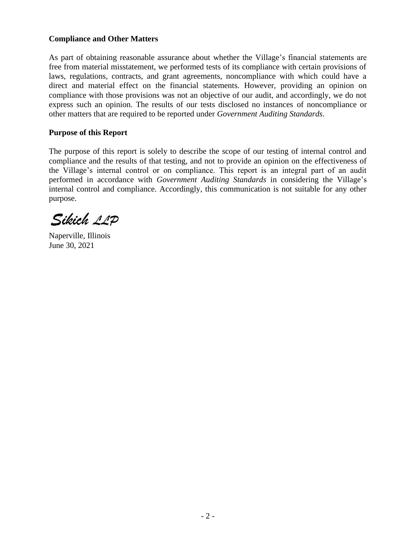#### **Compliance and Other Matters**

As part of obtaining reasonable assurance about whether the Village's financial statements are free from material misstatement, we performed tests of its compliance with certain provisions of laws, regulations, contracts, and grant agreements, noncompliance with which could have a direct and material effect on the financial statements. However, providing an opinion on compliance with those provisions was not an objective of our audit, and accordingly, we do not express such an opinion. The results of our tests disclosed no instances of noncompliance or other matters that are required to be reported under *Government Auditing Standards*.

#### **Purpose of this Report**

The purpose of this report is solely to describe the scope of our testing of internal control and compliance and the results of that testing, and not to provide an opinion on the effectiveness of the Village's internal control or on compliance. This report is an integral part of an audit performed in accordance with *Government Auditing Standards* in considering the Village's internal control and compliance. Accordingly, this communication is not suitable for any other purpose.

Sikich 11P

Naperville, Illinois June 30, 2021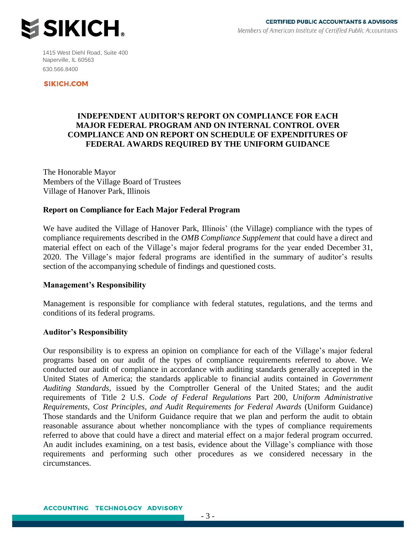

1415 West Diehl Road, Suite 400 Naperville, IL 60563 630.566.8400

**SIKICH.COM** 

#### **INDEPENDENT AUDITOR'S REPORT ON COMPLIANCE FOR EACH MAJOR FEDERAL PROGRAM AND ON INTERNAL CONTROL OVER COMPLIANCE AND ON REPORT ON SCHEDULE OF EXPENDITURES OF FEDERAL AWARDS REQUIRED BY THE UNIFORM GUIDANCE**

The Honorable Mayor Members of the Village Board of Trustees Village of Hanover Park, Illinois

#### **Report on Compliance for Each Major Federal Program**

We have audited the Village of Hanover Park, Illinois' (the Village) compliance with the types of compliance requirements described in the *OMB Compliance Supplement* that could have a direct and material effect on each of the Village's major federal programs for the year ended December 31, 2020. The Village's major federal programs are identified in the summary of auditor's results section of the accompanying schedule of findings and questioned costs.

#### **Management's Responsibility**

Management is responsible for compliance with federal statutes, regulations, and the terms and conditions of its federal programs.

#### **Auditor's Responsibility**

Our responsibility is to express an opinion on compliance for each of the Village's major federal programs based on our audit of the types of compliance requirements referred to above. We conducted our audit of compliance in accordance with auditing standards generally accepted in the United States of America; the standards applicable to financial audits contained in *Government Auditing Standards*, issued by the Comptroller General of the United States; and the audit requirements of Title 2 U.S. *Code of Federal Regulations* Part 200, *Uniform Administrative Requirements, Cost Principles, and Audit Requirements for Federal Awards* (Uniform Guidance) Those standards and the Uniform Guidance require that we plan and perform the audit to obtain reasonable assurance about whether noncompliance with the types of compliance requirements referred to above that could have a direct and material effect on a major federal program occurred. An audit includes examining, on a test basis, evidence about the Village's compliance with those requirements and performing such other procedures as we considered necessary in the circumstances.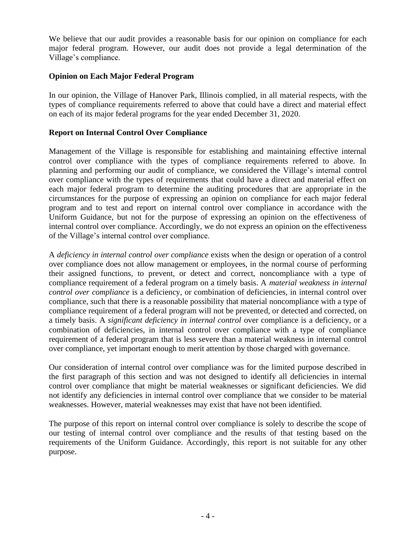We believe that our audit provides a reasonable basis for our opinion on compliance for each major federal program. However, our audit does not provide a legal determination of the Village's compliance.

#### **Opinion on Each Major Federal Program**

In our opinion, the Village of Hanover Park, Illinois complied, in all material respects, with the types of compliance requirements referred to above that could have a direct and material effect on each of its major federal programs for the year ended December 31, 2020.

#### **Report on Internal Control Over Compliance**

Management of the Village is responsible for establishing and maintaining effective internal control over compliance with the types of compliance requirements referred to above. In planning and performing our audit of compliance, we considered the Village's internal control over compliance with the types of requirements that could have a direct and material effect on each major federal program to determine the auditing procedures that are appropriate in the circumstances for the purpose of expressing an opinion on compliance for each major federal program and to test and report on internal control over compliance in accordance with the Uniform Guidance, but not for the purpose of expressing an opinion on the effectiveness of internal control over compliance. Accordingly, we do not express an opinion on the effectiveness of the Village's internal control over compliance.

A *deficiency in internal control over compliance* exists when the design or operation of a control over compliance does not allow management or employees, in the normal course of performing their assigned functions, to prevent, or detect and correct, noncompliance with a type of compliance requirement of a federal program on a timely basis. A *material weakness in internal control over compliance* is a deficiency, or combination of deficiencies, in internal control over compliance, such that there is a reasonable possibility that material noncompliance with a type of compliance requirement of a federal program will not be prevented, or detected and corrected, on a timely basis. A *significant deficiency in internal control* over compliance is a deficiency, or a combination of deficiencies, in internal control over compliance with a type of compliance requirement of a federal program that is less severe than a material weakness in internal control over compliance, yet important enough to merit attention by those charged with governance.

Our consideration of internal control over compliance was for the limited purpose described in the first paragraph of this section and was not designed to identify all deficiencies in internal control over compliance that might be material weaknesses or significant deficiencies. We did not identify any deficiencies in internal control over compliance that we consider to be material weaknesses. However, material weaknesses may exist that have not been identified.

The purpose of this report on internal control over compliance is solely to describe the scope of our testing of internal control over compliance and the results of that testing based on the requirements of the Uniform Guidance. Accordingly, this report is not suitable for any other purpose.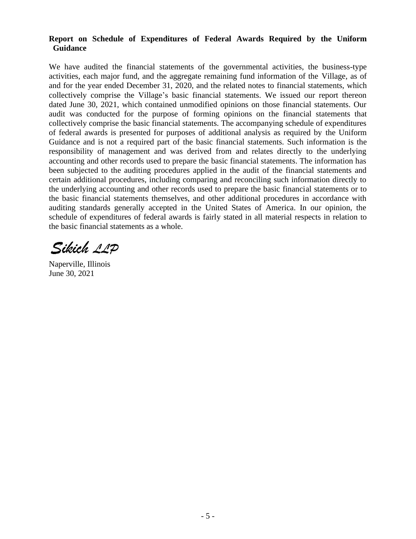#### **Report on Schedule of Expenditures of Federal Awards Required by the Uniform Guidance**

We have audited the financial statements of the governmental activities, the business-type activities, each major fund, and the aggregate remaining fund information of the Village, as of and for the year ended December 31, 2020, and the related notes to financial statements, which collectively comprise the Village's basic financial statements. We issued our report thereon dated June 30, 2021, which contained unmodified opinions on those financial statements. Our audit was conducted for the purpose of forming opinions on the financial statements that collectively comprise the basic financial statements. The accompanying schedule of expenditures of federal awards is presented for purposes of additional analysis as required by the Uniform Guidance and is not a required part of the basic financial statements. Such information is the responsibility of management and was derived from and relates directly to the underlying accounting and other records used to prepare the basic financial statements. The information has been subjected to the auditing procedures applied in the audit of the financial statements and certain additional procedures, including comparing and reconciling such information directly to the underlying accounting and other records used to prepare the basic financial statements or to the basic financial statements themselves, and other additional procedures in accordance with auditing standards generally accepted in the United States of America. In our opinion, the schedule of expenditures of federal awards is fairly stated in all material respects in relation to the basic financial statements as a whole.

Sikich 11P

Naperville, Illinois June 30, 2021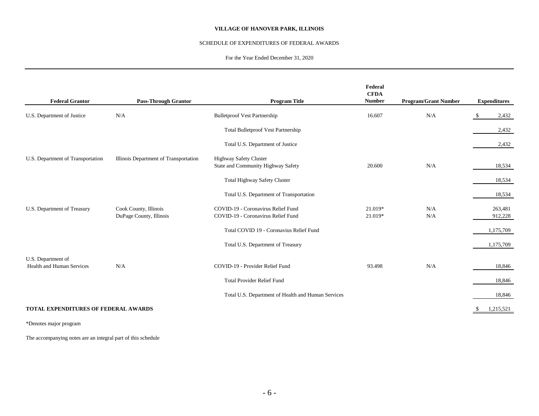#### SCHEDULE OF EXPENDITURES OF FEDERAL AWARDS

#### For the Year Ended December 31, 2020

|                                                 |                                       |                                                                     | Federal<br><b>CFDA</b> |                             |                     |           |
|-------------------------------------------------|---------------------------------------|---------------------------------------------------------------------|------------------------|-----------------------------|---------------------|-----------|
| <b>Federal Grantor</b>                          | <b>Pass-Through Grantor</b>           | <b>Program Title</b>                                                | <b>Number</b>          | <b>Program/Grant Number</b> | <b>Expenditures</b> |           |
| U.S. Department of Justice                      | N/A                                   | <b>Bulletproof Vest Partnership</b>                                 | 16.607                 | N/A                         | - \$                | 2,432     |
|                                                 |                                       | <b>Total Bulletproof Vest Partnership</b>                           |                        |                             |                     | 2,432     |
|                                                 |                                       | Total U.S. Department of Justice                                    |                        |                             |                     | 2,432     |
| U.S. Department of Transportation               | Illinois Department of Transportation | <b>Highway Safety Cluster</b><br>State and Community Highway Safety | 20.600                 | N/A                         |                     | 18,534    |
|                                                 |                                       | <b>Total Highway Safety Cluster</b>                                 |                        |                             |                     | 18,534    |
|                                                 |                                       | Total U.S. Department of Transportation                             |                        |                             |                     | 18,534    |
| U.S. Department of Treasury                     | Cook County, Illinois                 | COVID-19 - Coronavirus Relief Fund                                  | 21.019*                | N/A                         |                     | 263,481   |
|                                                 | DuPage County, Illinois               | COVID-19 - Coronavirus Relief Fund                                  | 21.019*                | N/A                         |                     | 912,228   |
|                                                 |                                       | Total COVID 19 - Coronavius Relief Fund                             |                        |                             |                     | 1,175,709 |
|                                                 |                                       | Total U.S. Department of Treasury                                   |                        |                             |                     | 1,175,709 |
| U.S. Department of<br>Health and Human Services | N/A                                   | COVID-19 - Provider Relief Fund                                     | 93.498                 | N/A                         |                     | 18,846    |
|                                                 |                                       | <b>Total Provider Relief Fund</b>                                   |                        |                             |                     | 18,846    |
|                                                 |                                       | Total U.S. Department of Health and Human Services                  |                        |                             |                     | 18,846    |
| <b>TOTAL EXPENDITURES OF FEDERAL AWARDS</b>     |                                       |                                                                     |                        |                             |                     | 1,215,521 |

\*Denotes major program

The accompanying notes are an integral part of this schedule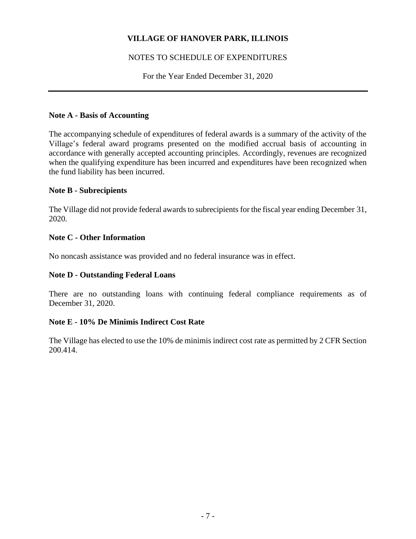#### NOTES TO SCHEDULE OF EXPENDITURES

For the Year Ended December 31, 2020

#### **Note A - Basis of Accounting**

The accompanying schedule of expenditures of federal awards is a summary of the activity of the Village's federal award programs presented on the modified accrual basis of accounting in accordance with generally accepted accounting principles. Accordingly, revenues are recognized when the qualifying expenditure has been incurred and expenditures have been recognized when the fund liability has been incurred.

#### **Note B - Subrecipients**

The Village did not provide federal awards to subrecipients for the fiscal year ending December 31, 2020.

#### **Note C - Other Information**

No noncash assistance was provided and no federal insurance was in effect.

#### **Note D - Outstanding Federal Loans**

There are no outstanding loans with continuing federal compliance requirements as of December 31, 2020.

#### **Note E - 10% De Minimis Indirect Cost Rate**

The Village has elected to use the 10% de minimis indirect cost rate as permitted by 2 CFR Section 200.414.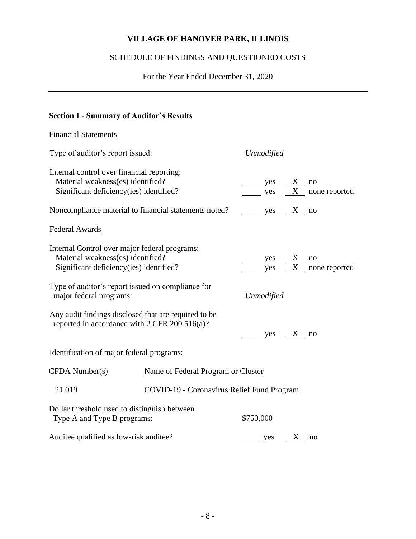# SCHEDULE OF FINDINGS AND QUESTIONED COSTS

For the Year Ended December 31, 2020

## **Section I - Summary of Auditor's Results**

| <b>Financial Statements</b>                                                                           |                                            |                                     |   |                                    |
|-------------------------------------------------------------------------------------------------------|--------------------------------------------|-------------------------------------|---|------------------------------------|
| Type of auditor's report issued:                                                                      |                                            | <b>Unmodified</b>                   |   |                                    |
| Internal control over financial reporting:                                                            |                                            |                                     |   |                                    |
| Material weakness(es) identified?<br>Significant deficiency(ies) identified?                          |                                            | $\overline{\phantom{a}}$ yes<br>yes | X | no<br>$\overline{X}$ none reported |
|                                                                                                       |                                            |                                     |   |                                    |
| Noncompliance material to financial statements noted?                                                 |                                            | yes X no                            |   |                                    |
| Federal Awards                                                                                        |                                            |                                     |   |                                    |
| Internal Control over major federal programs:                                                         |                                            |                                     |   |                                    |
| Material weakness(es) identified?                                                                     |                                            | yes                                 | X | no                                 |
| Significant deficiency(ies) identified?                                                               |                                            | yes                                 |   | $\overline{X}$ none reported       |
| Type of auditor's report issued on compliance for<br>major federal programs:                          |                                            | <b>Unmodified</b>                   |   |                                    |
| Any audit findings disclosed that are required to be<br>reported in accordance with 2 CFR 200.516(a)? |                                            | yes X                               |   | no                                 |
| Identification of major federal programs:                                                             |                                            |                                     |   |                                    |
| $CFDA$ Number(s)                                                                                      | Name of Federal Program or Cluster         |                                     |   |                                    |
| 21.019                                                                                                | COVID-19 - Coronavirus Relief Fund Program |                                     |   |                                    |
| Dollar threshold used to distinguish between<br>Type A and Type B programs:                           |                                            | \$750,000                           |   |                                    |
| Auditee qualified as low-risk auditee?                                                                |                                            | yes X                               |   | no                                 |